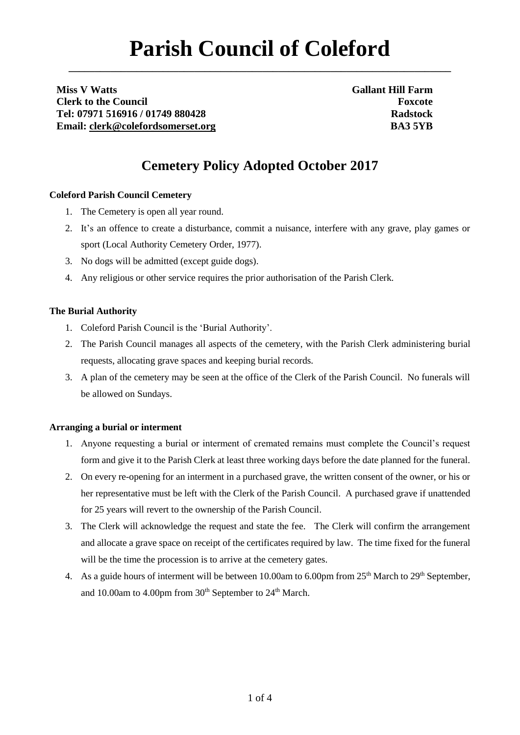# **Parish Council of Coleford**

**\_\_\_\_\_\_\_\_\_\_\_\_\_\_\_\_\_\_\_\_\_\_\_\_\_\_\_\_\_\_\_\_\_\_\_\_\_\_\_\_\_\_\_\_\_\_\_\_\_\_\_\_\_\_\_\_\_\_\_\_\_\_\_\_\_\_\_\_\_\_\_\_\_**

**Miss V Watts Clerk to the Council Tel: 07971 516916 / 01749 880428 Email: [clerk@colefordsomerset.org](mailto:clerk@colefordsomerset.org)** **Gallant Hill Farm Foxcote Radstock BA3 5YB**

# **Cemetery Policy Adopted October 2017**

# **Coleford Parish Council Cemetery**

- 1. The Cemetery is open all year round.
- 2. It's an offence to create a disturbance, commit a nuisance, interfere with any grave, play games or sport (Local Authority Cemetery Order, 1977).
- 3. No dogs will be admitted (except guide dogs).
- 4. Any religious or other service requires the prior authorisation of the Parish Clerk.

# **The Burial Authority**

- 1. Coleford Parish Council is the 'Burial Authority'.
- 2. The Parish Council manages all aspects of the cemetery, with the Parish Clerk administering burial requests, allocating grave spaces and keeping burial records.
- 3. A plan of the cemetery may be seen at the office of the Clerk of the Parish Council. No funerals will be allowed on Sundays.

### **Arranging a burial or interment**

- 1. Anyone requesting a burial or interment of cremated remains must complete the Council's request form and give it to the Parish Clerk at least three working days before the date planned for the funeral.
- 2. On every re-opening for an interment in a purchased grave, the written consent of the owner, or his or her representative must be left with the Clerk of the Parish Council. A purchased grave if unattended for 25 years will revert to the ownership of the Parish Council.
- 3. The Clerk will acknowledge the request and state the fee. The Clerk will confirm the arrangement and allocate a grave space on receipt of the certificates required by law. The time fixed for the funeral will be the time the procession is to arrive at the cemetery gates.
- 4. As a guide hours of interment will be between 10.00am to 6.00pm from 25<sup>th</sup> March to 29<sup>th</sup> September, and 10.00am to 4.00pm from 30<sup>th</sup> September to 24<sup>th</sup> March.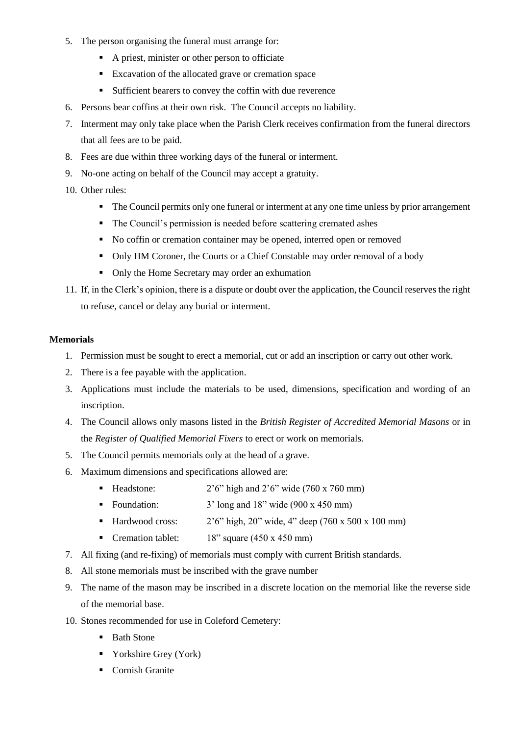- 5. The person organising the funeral must arrange for:
	- A priest, minister or other person to officiate
	- **Excavation of the allocated grave or cremation space**
	- Sufficient bearers to convey the coffin with due reverence
- 6. Persons bear coffins at their own risk. The Council accepts no liability.
- 7. Interment may only take place when the Parish Clerk receives confirmation from the funeral directors that all fees are to be paid.
- 8. Fees are due within three working days of the funeral or interment.
- 9. No-one acting on behalf of the Council may accept a gratuity.
- 10. Other rules:
	- The Council permits only one funeral or interment at any one time unless by prior arrangement
	- The Council's permission is needed before scattering cremated ashes
	- No coffin or cremation container may be opened, interred open or removed
	- Only HM Coroner, the Courts or a Chief Constable may order removal of a body
	- Only the Home Secretary may order an exhumation
- 11. If, in the Clerk's opinion, there is a dispute or doubt over the application, the Council reserves the right to refuse, cancel or delay any burial or interment.

#### **Memorials**

- 1. Permission must be sought to erect a memorial, cut or add an inscription or carry out other work.
- 2. There is a fee payable with the application.
- 3. Applications must include the materials to be used, dimensions, specification and wording of an inscription.
- 4. The Council allows only masons listed in the *British Register of Accredited Memorial Masons* or in the *Register of Qualified Memorial Fixers* to erect or work on memorials*.*
- 5. The Council permits memorials only at the head of a grave.
- 6. Maximum dimensions and specifications allowed are:
	- Headstone:  $2'6''$  high and  $2'6''$  wide (760 x 760 mm)
	- Foundation:  $3' \text{ long and } 18'' \text{ wide } (900 \text{ x } 450 \text{ mm})$
	- Hardwood cross:  $2'6''$  high,  $20''$  wide,  $4''$  deep (760 x 500 x 100 mm)
	- Cremation tablet: 18" square (450 x 450 mm)
- 7. All fixing (and re-fixing) of memorials must comply with current British standards.
- 8. All stone memorials must be inscribed with the grave number
- 9. The name of the mason may be inscribed in a discrete location on the memorial like the reverse side of the memorial base.
- 10. Stones recommended for use in Coleford Cemetery:
	- Bath Stone
	- Yorkshire Grey (York)
	- Cornish Granite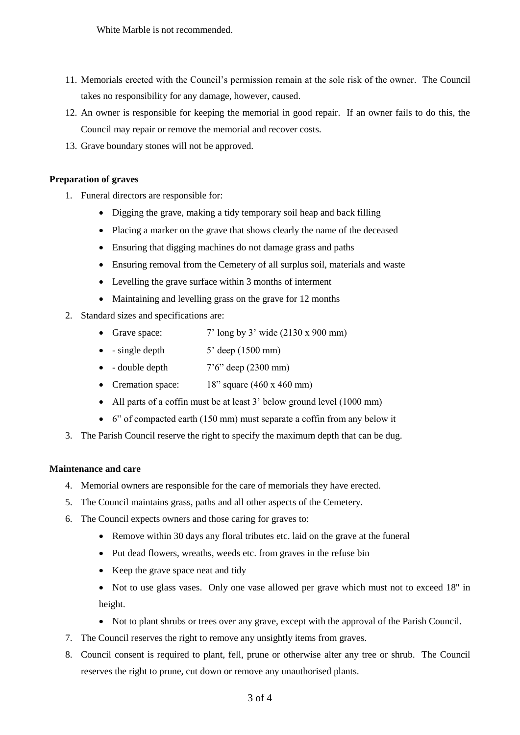White Marble is not recommended.

- 11. Memorials erected with the Council's permission remain at the sole risk of the owner*.* The Council takes no responsibility for any damage, however, caused.
- 12. An owner is responsible for keeping the memorial in good repair. If an owner fails to do this, the Council may repair or remove the memorial and recover costs.
- 13. Grave boundary stones will not be approved.

#### **Preparation of graves**

- 1. Funeral directors are responsible for:
	- Digging the grave, making a tidy temporary soil heap and back filling
	- Placing a marker on the grave that shows clearly the name of the deceased
	- Ensuring that digging machines do not damage grass and paths
	- Ensuring removal from the Cemetery of all surplus soil, materials and waste
	- Levelling the grave surface within 3 months of interment
	- Maintaining and levelling grass on the grave for 12 months
- 2. Standard sizes and specifications are:
	- Grave space:  $7' \log by 3' \text{ wide } (2130 \text{ x } 900 \text{ mm})$
	- $\bullet$  single depth  $\bullet$  5' deep (1500 mm)
	- $\bullet$  double depth  $7'6''$  deep (2300 mm)
	- Cremation space: 18" square (460 x 460 mm)
	- All parts of a coffin must be at least 3' below ground level (1000 mm)
	- 6" of compacted earth (150 mm) must separate a coffin from any below it
- 3. The Parish Council reserve the right to specify the maximum depth that can be dug.

#### **Maintenance and care**

- 4. Memorial owners are responsible for the care of memorials they have erected.
- 5. The Council maintains grass, paths and all other aspects of the Cemetery.
- 6. The Council expects owners and those caring for graves to:
	- Remove within 30 days any floral tributes etc. laid on the grave at the funeral
	- Put dead flowers, wreaths, weeds etc. from graves in the refuse bin
	- Keep the grave space neat and tidy
	- Not to use glass vases. Only one vase allowed per grave which must not to exceed 18" in height.
	- Not to plant shrubs or trees over any grave, except with the approval of the Parish Council.
- 7. The Council reserves the right to remove any unsightly items from graves.
- 8. Council consent is required to plant, fell, prune or otherwise alter any tree or shrub. The Council reserves the right to prune, cut down or remove any unauthorised plants.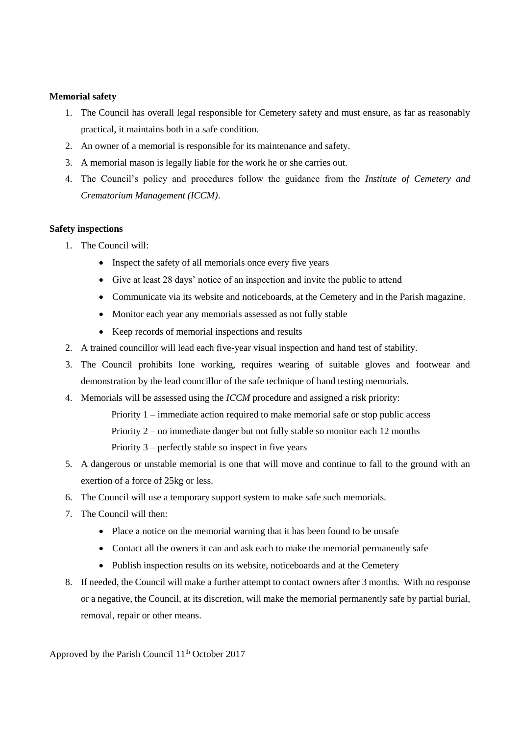#### **Memorial safety**

- 1. The Council has overall legal responsible for Cemetery safety and must ensure, as far as reasonably practical, it maintains both in a safe condition.
- 2. An owner of a memorial is responsible for its maintenance and safety.
- 3. A memorial mason is legally liable for the work he or she carries out.
- 4. The Council's policy and procedures follow the guidance from the *Institute of Cemetery and Crematorium Management (ICCM)*.

#### **Safety inspections**

- 1. The Council will:
	- Inspect the safety of all memorials once every five years
	- Give at least 28 days' notice of an inspection and invite the public to attend
	- Communicate via its website and noticeboards, at the Cemetery and in the Parish magazine.
	- Monitor each year any memorials assessed as not fully stable
	- Keep records of memorial inspections and results
- 2. A trained councillor will lead each five-year visual inspection and hand test of stability.
- 3. The Council prohibits lone working, requires wearing of suitable gloves and footwear and demonstration by the lead councillor of the safe technique of hand testing memorials.
- 4. Memorials will be assessed using the *ICCM* procedure and assigned a risk priority:
	- Priority 1 immediate action required to make memorial safe or stop public access
	- Priority 2 no immediate danger but not fully stable so monitor each 12 months

Priority 3 – perfectly stable so inspect in five years

- 5. A dangerous or unstable memorial is one that will move and continue to fall to the ground with an exertion of a force of 25kg or less.
- 6. The Council will use a temporary support system to make safe such memorials.
- 7. The Council will then:
	- Place a notice on the memorial warning that it has been found to be unsafe
	- Contact all the owners it can and ask each to make the memorial permanently safe
	- Publish inspection results on its website, noticeboards and at the Cemetery
- 8. If needed, the Council will make a further attempt to contact owners after 3 months. With no response or a negative, the Council, at its discretion, will make the memorial permanently safe by partial burial, removal, repair or other means.

Approved by the Parish Council 11<sup>th</sup> October 2017